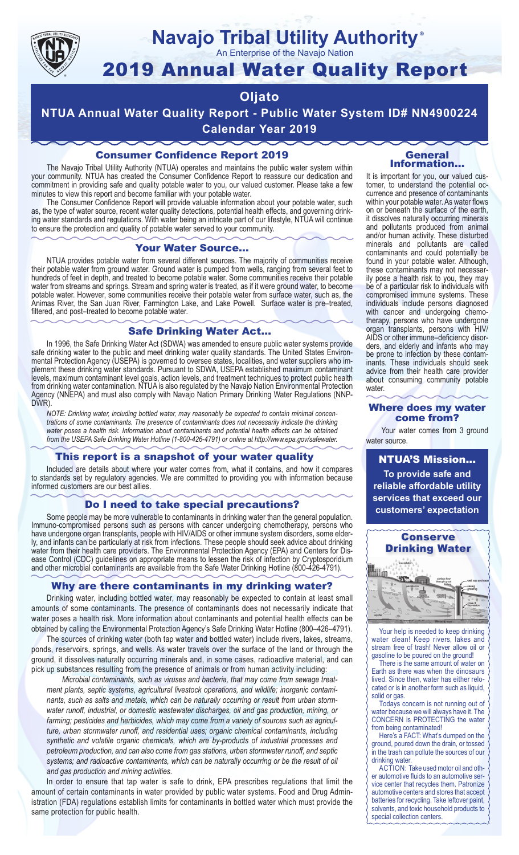

# **Navajo Tribal Utility Authority**

An Enterprise of the Navajo Nation

## 2019 Annual Water Quality Report

#### **Oljato**

**NTUA Annual Water Quality Report - Public Water System ID# NN4900224 Calendar Year 2019**

#### Consumer Confidence Report 2019

The Navajo Tribal Utility Authority (NTUA) operates and maintains the public water system within your community. NTUA has created the Consumer Confidence Report to reassure our dedication and commitment in providing safe and quality potable water to you, our valued customer. Please take a few minutes to view this report and become familiar with your potable water.

The Consumer Confidence Report will provide valuable information about your potable water, such as, the type of water source, recent water quality detections, potential health effects, and governing drinking water standards and regulations. With water being an intricate part of our lifestyle, NTUA will continue to ensure the protection and quality of potable water served to your community.

#### Your Water Source…

NTUA provides potable water from several different sources. The majority of communities receive their potable water from ground water. Ground water is pumped from wells, ranging from several feet to hundreds of feet in depth, and treated to become potable water. Some communities receive their potable water from streams and springs. Stream and spring water is treated, as if it were ground water, to become potable water. However, some communities receive their potable water from surface water, such as, the Animas River, the San Juan River, Farmington Lake, and Lake Powell. Surface water is pre–treated, filtered, and post–treated to become potable water.

#### Safe Drinking Water Act…

In 1996, the Safe Drinking Water Act (SDWA) was amended to ensure public water systems provide safe drinking water to the public and meet drinking water quality standards. The United States Environmental Protection Agency (USEPA) is governed to oversee states, localities, and water suppliers who implement these drinking water standards. Pursuant to SDWA, USEPA established maximum contaminant levels, maximum contaminant level goals, action levels, and treatment techniques to protect public health from drinking water contamination. NTUA is also regulated by the Navajo Nation Environmental Protection Agency (NNEPA) and must also comply with Navajo Nation Primary Drinking Water Regulations (NNP-DWR)

*NOTE: Drinking water, including bottled water, may reasonably be expected to contain minimal concentrations of some contaminants. The presence of contaminants does not necessarily indicate the drinking water poses a health risk. Information about contaminants and potential health effects can be obtained from the USEPA Safe Drinking Water Hotline (1-800-426-4791) or online at http://www.epa.gov/safewater.*

#### This report is a snapshot of your water quality

Included are details about where your water comes from, what it contains, and how it compares to standards set by regulatory agencies. We are committed to providing you with information because informed customers are our best allies.

#### Do I need to take special precautions?

Some people may be more vulnerable to contaminants in drinking water than the general population. Immuno-compromised persons such as persons with cancer undergoing chemotherapy, persons who have undergone organ transplants, people with HIV/AIDS or other immune system disorders, some elderly, and infants can be particularly at risk from infections. These people should seek advice about drinking water from their health care providers. The Environmental Protection Agency (EPA) and Centers for Disease Control (CDC) guidelines on appropriate means to lessen the risk of infection by Cryptosporidium and other microbial contaminants are available from the Safe Water Drinking Hotline (800-426-4791).

#### Why are there contaminants in my drinking water?

Drinking water, including bottled water, may reasonably be expected to contain at least small amounts of some contaminants. The presence of contaminants does not necessarily indicate that water poses a health risk. More information about contaminants and potential health effects can be obtained by calling the Environmental Protection Agency's Safe Drinking Water Hotline (800–426–4791).

The sources of drinking water (both tap water and bottled water) include rivers, lakes, streams, ponds, reservoirs, springs, and wells. As water travels over the surface of the land or through the ground, it dissolves naturally occurring minerals and, in some cases, radioactive material, and can pick up substances resulting from the presence of animals or from human activity including:

*Microbial contaminants, such as viruses and bacteria, that may come from sewage treatment plants, septic systems, agricultural livestock operations, and wildlife; inorganic contaminants, such as salts and metals, which can be naturally occurring or result from urban stormwater runoff, industrial, or domestic wastewater discharges, oil and gas production, mining, or farming; pesticides and herbicides, which may come from a variety of sources such as agriculture, urban stormwater runoff, and residential uses; organic chemical contaminants, including synthetic and volatile organic chemicals, which are by-products of industrial processes and petroleum production, and can also come from gas stations, urban stormwater runoff, and septic systems; and radioactive contaminants, which can be naturally occurring or be the result of oil and gas production and mining activities.*

In order to ensure that tap water is safe to drink, EPA prescribes regulations that limit the amount of certain contaminants in water provided by public water systems. Food and Drug Administration (FDA) regulations establish limits for contaminants in bottled water which must provide the same protection for public health.

#### General Information…

®

It is important for you, our valued customer, to understand the potential occurrence and presence of contaminants within your potable water. As water flows on or beneath the surface of the earth, it dissolves naturally occurring minerals and pollutants produced from animal and/or human activity. These disturbed minerals and pollutants are called contaminants and could potentially be found in your potable water. Although, these contaminants may not necessarily pose a health risk to you, they may be of a particular risk to individuals with compromised immune systems. These individuals include persons diagnosed with cancer and undergoing chemo-<br>therapy, persons who have undergone organ transplants, persons with HIV/ AIDS or other immune–deficiency disor- ders, and elderly and infants who may be prone to infection by these contam-<br>inants. These individuals should seek advice from their health care provider about consuming community potable water.

#### Where does my water come from?

Your water comes from 3 ground water source.

NTUA'S Mission... **To provide safe and reliable affordable utility services that exceed our customers' expectation**



Your help is needed to keep drinking water clean! Keep rivers, lakes and stream free of trash! Never allow oil or gasoline to be poured on the ground!

There is the same amount of water on Earth as there was when the dinosaurs lived. Since then, water has either relocated or is in another form such as liquid, solid or gas.

Todays concern is not running out of water because we will always have it. The CONCERN is PROTECTING the water from being contaminated!

Here's a FACT: What's dumped on the ground, poured down the drain, or tossed in the trash can pollute the sources of our drinking water.

ACTION: Take used motor oil and other automotive fluids to an automotive service center that recycles them. Patronize automotive centers and stores that accept batteries for recycling. Take leftover paint, solvents, and toxic household products to special collection centers.